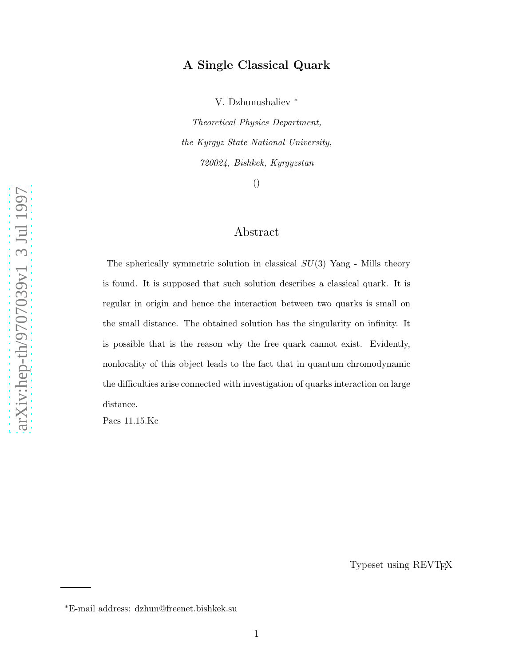### A Single Classical Quark

V. Dzhunushaliev ∗

Theoretical Physics Department, the Kyrgyz State National University, 720024, Bishkek, Kyrgyzstan

()

## Abstract

The spherically symmetric solution in classical  $SU(3)$  Yang - Mills theory is found. It is supposed that such solution describes a classical quark. It is regular in origin and hence the interaction between two quarks is small on the small distance. The obtained solution has the singularity on infinity. It is possible that is the reason why the free quark cannot exist. Evidently, nonlocality of this object leads to the fact that in quantum chromodynamic the difficulties arise connected with investigation of quarks interaction on large distance.

Pacs 11.15.Kc

Typeset using REVTEX

<sup>∗</sup>E-mail address: dzhun@freenet.bishkek.su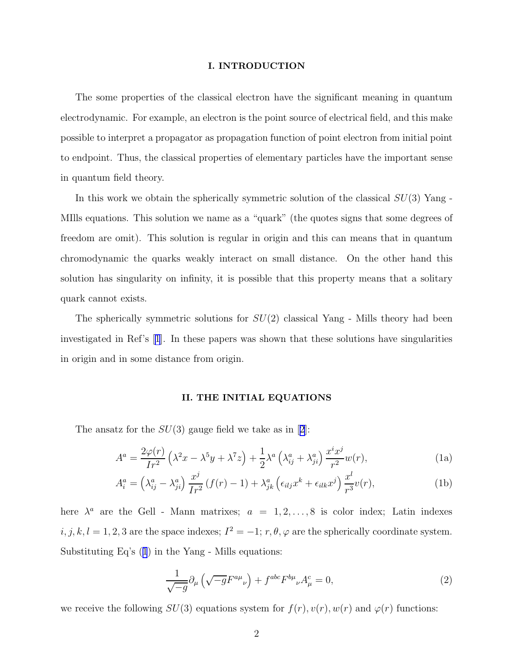#### I. INTRODUCTION

<span id="page-1-0"></span>The some properties of the classical electron have the significant meaning in quantum electrodynamic. For example, an electron is the point source of electrical field, and this make possible to interpret a propagator as propagation function of point electron from initial point to endpoint. Thus, the classical properties of elementary particles have the important sense in quantum field theory.

In this work we obtain the spherically symmetric solution of the classical  $SU(3)$  Yang -MIlls equations. This solution we name as a "quark" (the quotes signs that some degrees of freedom are omit). This solution is regular in origin and this can means that in quantum chromodynamic the quarks weakly interact on small distance. On the other hand this solution has singularity on infinity, it is possible that this property means that a solitary quark cannot exists.

The spherically symmetric solutions for  $SU(2)$  classical Yang - Mills theory had been investigated in Ref's[[1](#page-5-0)]. In these papers was shown that these solutions have singularities in origin and in some distance from origin.

#### II. THE INITIAL EQUATIONS

Theansatz for the  $SU(3)$  gauge field we take as in [[2](#page-5-0)]:

$$
A^{a} = \frac{2\varphi(r)}{Ir^{2}} \left(\lambda^{2}x - \lambda^{5}y + \lambda^{7}z\right) + \frac{1}{2}\lambda^{a}\left(\lambda_{ij}^{a} + \lambda_{ji}^{a}\right) \frac{x^{i}x^{j}}{r^{2}}w(r),
$$
\n(1a)

$$
A_i^a = \left(\lambda_{ij}^a - \lambda_{ji}^a\right) \frac{x^j}{Ir^2} \left(f(r) - 1\right) + \lambda_{jk}^a \left(\epsilon_{ilj} x^k + \epsilon_{ilk} x^j\right) \frac{x^l}{r^3} v(r),\tag{1b}
$$

here  $\lambda^a$  are the Gell - Mann matrixes;  $a = 1, 2, ..., 8$  is color index; Latin indexes  $i, j, k, l = 1, 2, 3$  are the space indexes;  $I^2 = -1; r, \theta, \varphi$  are the spherically coordinate system. Substituting Eq's (1) in the Yang - Mills equations:

$$
\frac{1}{\sqrt{-g}}\partial_{\mu}\left(\sqrt{-g}F^{a\mu}{}_{\nu}\right) + f^{abc}F^{b\mu}{}_{\nu}A^{c}_{\mu} = 0, \tag{2}
$$

we receive the following  $SU(3)$  equations system for  $f(r)$ ,  $v(r)$ ,  $w(r)$  and  $\varphi(r)$  functions: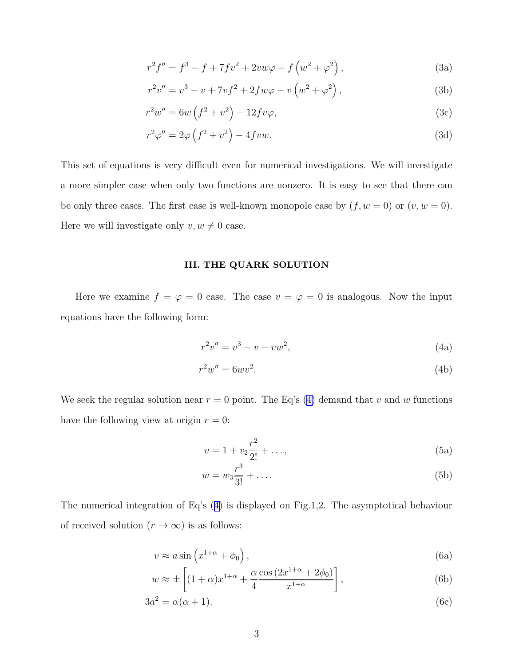<span id="page-2-0"></span>
$$
r^{2} f'' = f^{3} - f + 7 f v^{2} + 2 v w \varphi - f \left( w^{2} + \varphi^{2} \right),
$$
 (3a)

$$
r^{2}v'' = v^{3} - v + 7vf^{2} + 2fw\varphi - v\left(w^{2} + \varphi^{2}\right),
$$
\n(3b)

$$
r^2w'' = 6w\left(f^2 + v^2\right) - 12f v\varphi,\tag{3c}
$$

$$
r^2 \varphi'' = 2\varphi \left(f^2 + v^2\right) - 4fvw. \tag{3d}
$$

This set of equations is very difficult even for numerical investigations. We will investigate a more simpler case when only two functions are nonzero. It is easy to see that there can be only three cases. The first case is well-known monopole case by  $(f, w = 0)$  or  $(v, w = 0)$ . Here we will investigate only  $v, w \neq 0$  case.

#### III. THE QUARK SOLUTION

Here we examine  $f = \varphi = 0$  case. The case  $v = \varphi = 0$  is analogous. Now the input equations have the following form:

$$
r^2v'' = v^3 - v - vw^2,
$$
\t(4a)

$$
r^2 w'' = 6wv^2. \tag{4b}
$$

We seek the regular solution near  $r = 0$  point. The Eq's (4) demand that v and w functions have the following view at origin  $r = 0$ :

$$
v = 1 + v_2 \frac{r^2}{2!} + \dots,
$$
 (5a)

$$
w = w_3 \frac{r^3}{3!} + \dots
$$
 (5b)

The numerical integration of Eq's (4) is displayed on Fig.1,2. The asymptotical behaviour of received solution  $(r \to \infty)$  is as follows:

$$
v \approx a \sin \left( x^{1+\alpha} + \phi_0 \right),\tag{6a}
$$

$$
w \approx \pm \left[ (1+\alpha)x^{1+\alpha} + \frac{\alpha}{4} \frac{\cos\left(2x^{1+\alpha} + 2\phi_0\right)}{x^{1+\alpha}} \right],\tag{6b}
$$

$$
3a^2 = \alpha(\alpha + 1). \tag{6c}
$$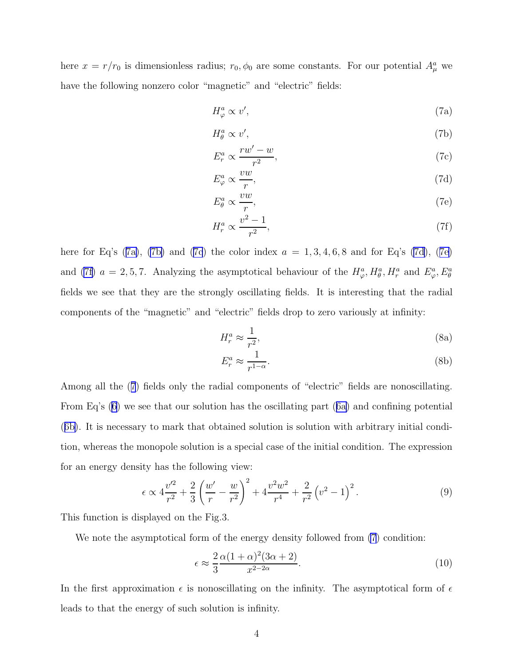here  $x = r/r_0$  is dimensionless radius;  $r_0, \phi_0$  are some constants. For our potential  $A^a_\mu$  we have the following nonzero color "magnetic" and "electric" fields:

$$
H_{\varphi}^{a} \propto v',\tag{7a}
$$

$$
H^a_{\theta} \propto v',\tag{7b}
$$

$$
E_r^a \propto \frac{rw' - w}{r^2},\tag{7c}
$$

$$
E^a_\varphi \propto \frac{vw}{r},\tag{7d}
$$

$$
E^a_\theta \propto \frac{vw}{r},\tag{7e}
$$

$$
H_r^a \propto \frac{v^2 - 1}{r^2},\tag{7f}
$$

here for Eq's (7a), (7b) and (7c) the color index  $a = 1, 3, 4, 6, 8$  and for Eq's (7d), (7e) and (7f)  $a = 2, 5, 7$ . Analyzing the asymptotical behaviour of the  $H^a_{\varphi}, H^a_{\theta}, H^a_r$  and  $E^a_{\varphi}, E^a_{\theta}$ fields we see that they are the strongly oscillating fields. It is interesting that the radial components of the "magnetic" and "electric" fields drop to zero variously at infinity:

$$
H_r^a \approx \frac{1}{r^2},\tag{8a}
$$

$$
E_r^a \approx \frac{1}{r^{1-\alpha}}.\tag{8b}
$$

Among all the([7](#page-2-0)) fields only the radial components of "electric" fields are nonoscillating. From Eq's [\(6\)](#page-2-0) we see that our solution has the oscillating part([6a\)](#page-2-0) and confining potential ([6b\)](#page-2-0). It is necessary to mark that obtained solution is solution with arbitrary initial condition, whereas the monopole solution is a special case of the initial condition. The expression for an energy density has the following view:

$$
\epsilon \propto 4\frac{v'^2}{r^2} + \frac{2}{3} \left(\frac{w'}{r} - \frac{w}{r^2}\right)^2 + 4\frac{v^2 w^2}{r^4} + \frac{2}{r^2} \left(v^2 - 1\right)^2. \tag{9}
$$

This function is displayed on the Fig.3.

We note the asymptotical form of the energy density followed from  $(7)$  $(7)$  condition:

$$
\epsilon \approx \frac{2}{3} \frac{\alpha (1+\alpha)^2 (3\alpha+2)}{x^{2-2\alpha}}.
$$
\n(10)

In the first approximation  $\epsilon$  is nonoscillating on the infinity. The asymptotical form of  $\epsilon$ leads to that the energy of such solution is infinity.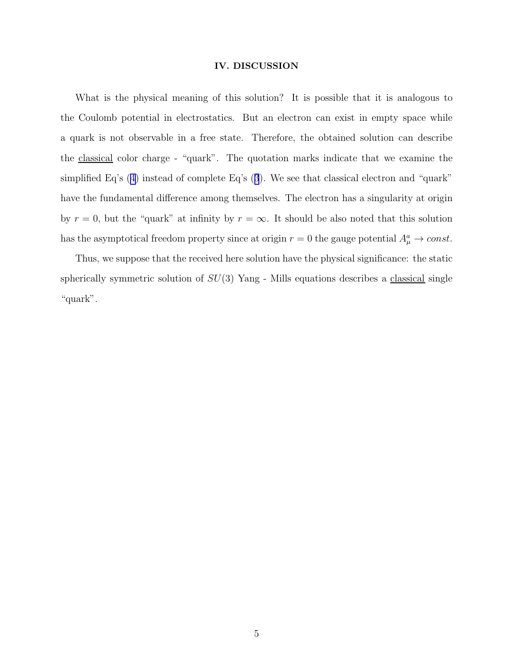#### IV. DISCUSSION

What is the physical meaning of this solution? It is possible that it is analogous to the Coulomb potential in electrostatics. But an electron can exist in empty space while a quark is not observable in a free state. Therefore, the obtained solution can describe the classical color charge - "quark". The quotation marks indicate that we examine the simplified Eq's [\(4\)](#page-2-0) instead of complete Eq's([3](#page-1-0)). We see that classical electron and "quark" have the fundamental difference among themselves. The electron has a singularity at origin by  $r = 0$ , but the "quark" at infinity by  $r = \infty$ . It should be also noted that this solution has the asymptotical freedom property since at origin  $r = 0$  the gauge potential  $A^a_\mu \to const.$ 

Thus, we suppose that the received here solution have the physical significance: the static spherically symmetric solution of  $SU(3)$  Yang - Mills equations describes a classical single "quark".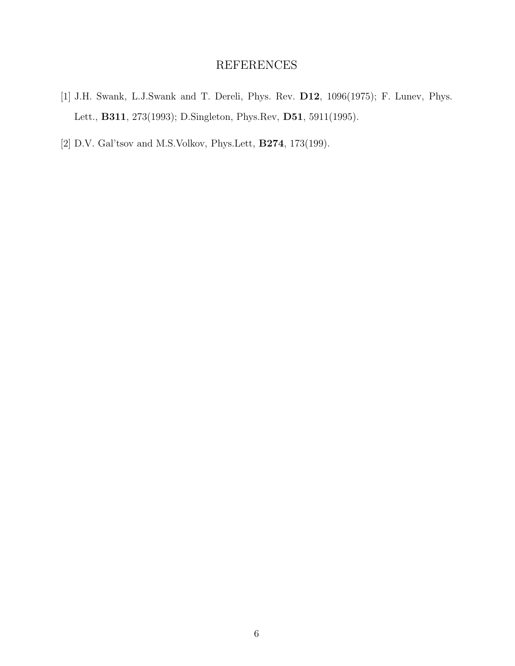# REFERENCES

- <span id="page-5-0"></span>[1] J.H. Swank, L.J.Swank and T. Dereli, Phys. Rev. D12, 1096(1975); F. Lunev, Phys. Lett., B311, 273(1993); D.Singleton, Phys.Rev, D51, 5911(1995).
- [2] D.V. Gal'tsov and M.S. Volkov, Phys. Lett, **B274**, 173(199).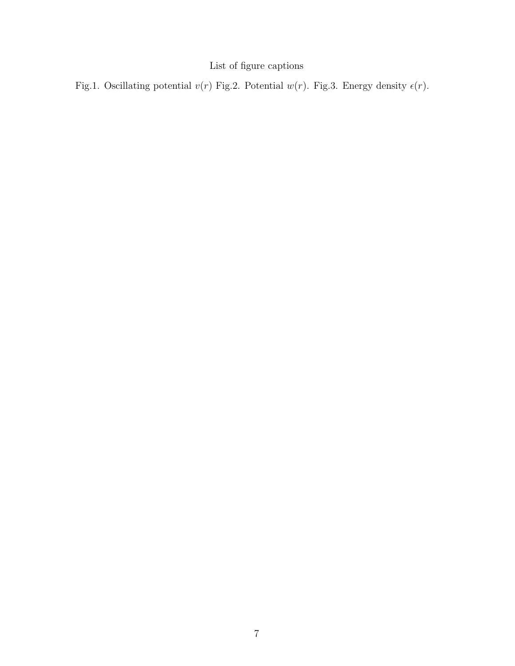## List of figure captions

Fig.1. Oscillating potential  $v(r)$  Fig.2. Potential  $w(r)$ . Fig.3. Energy density  $\epsilon(r)$ .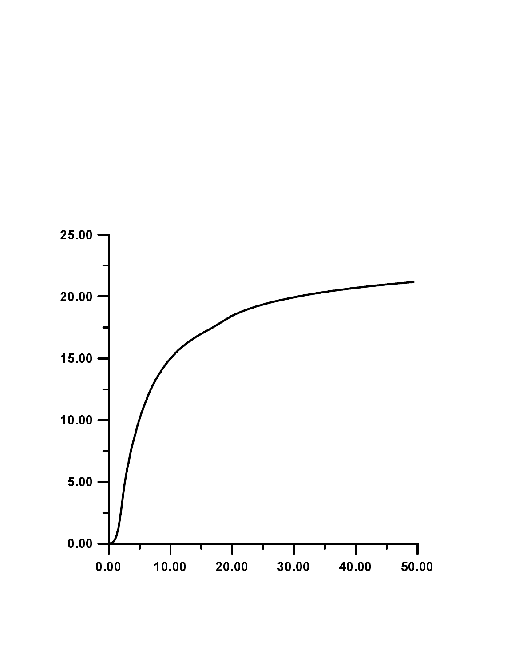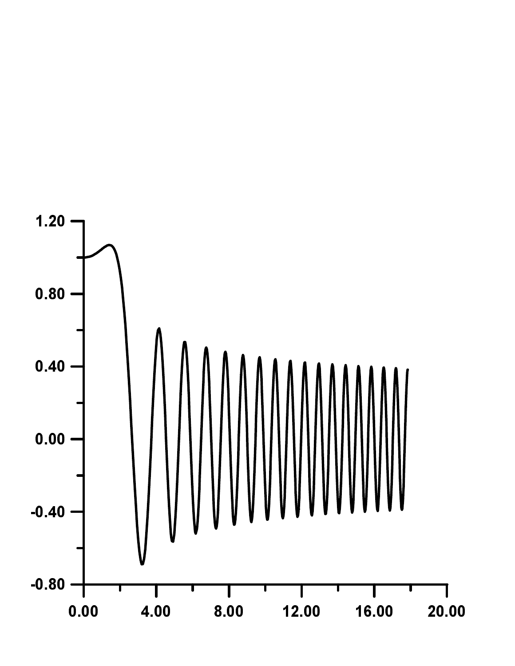